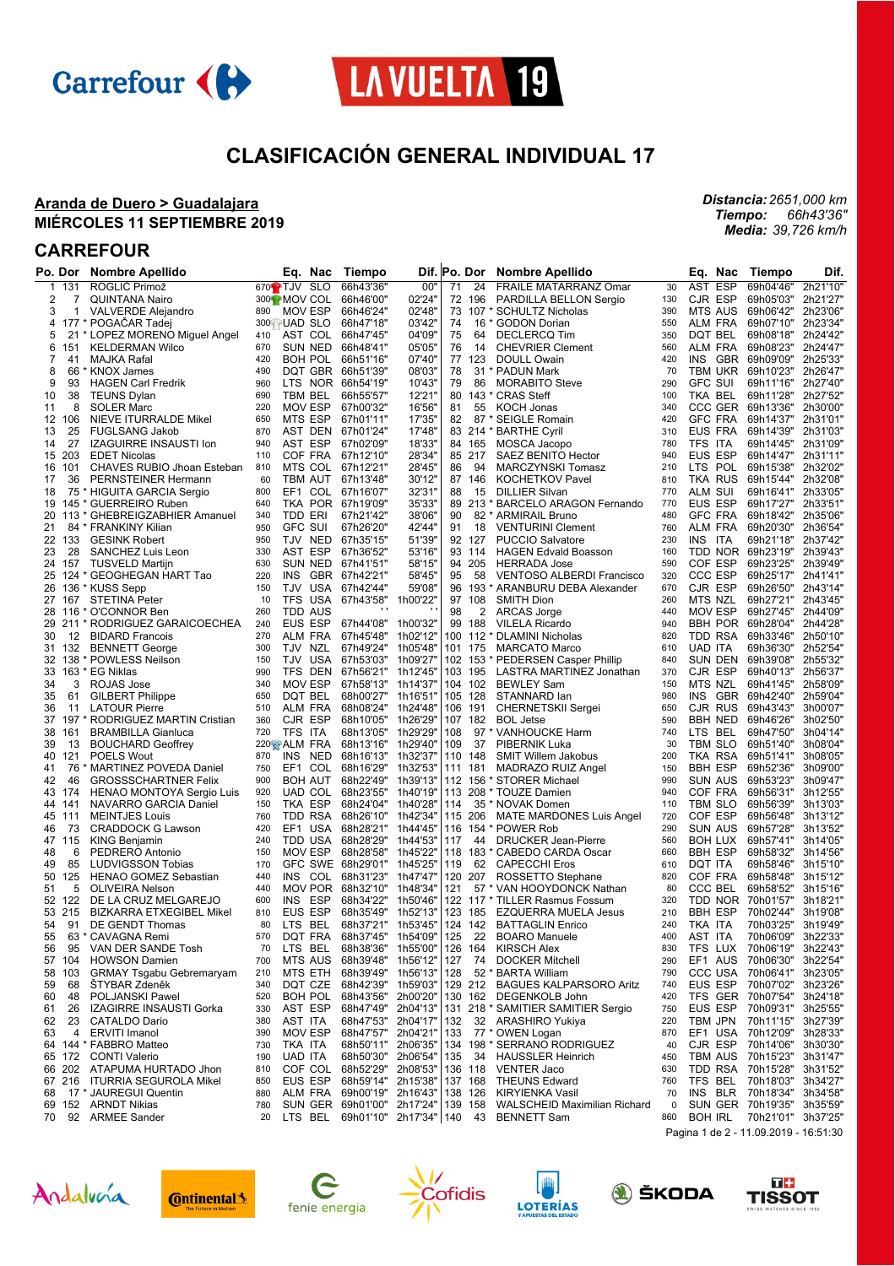



## **CLASIFICACIÓN GENERAL INDIVIDUAL 17**

### **Aranda de Duero > Guadalajara MIÉRCOLES 11 SEPTIEMBRE 2019**

## **CARREFOUR**

|          | Po. Dor | Nombre Apellido                  |                      | Eq.<br>Nac               | Tiempo                     |                      |     | Dif. Po. Dor | Nombre Apellido                                 |            | Eq.<br>Nac                 | Tiempo             | Dif.                 |
|----------|---------|----------------------------------|----------------------|--------------------------|----------------------------|----------------------|-----|--------------|-------------------------------------------------|------------|----------------------------|--------------------|----------------------|
| 1        | 131     | ROGLIČ Primož                    | 670 <sup>2</sup> TJV | <b>SLO</b>               | 66h43'36"                  | 00"                  | 71  | 24           | FRAILE MATARRANZ Omar                           | 30         | <b>AST</b><br><b>ESP</b>   | 69h04'46"          | 2h21'10"             |
| 2        | 7       | <b>QUINTANA Nairo</b>            |                      | 300 <sup>1</sup> MOV COL | 66h46'00"                  | 02'24"               |     | 72 196       | PARDILLA BELLON Sergio                          | 130        | CJR ESP                    | 69h05'03"          | 2h21'27"             |
| 3        | 1       | <b>VALVERDE Alejandro</b>        | 890                  | MOV ESP                  | 66h46'24"                  | 02'48'               | 73  |              | 107 * SCHULTZ Nicholas                          | 390        | <b>MTS AUS</b>             | 69h06'42"          | 2h23'06"             |
| 4        |         | 177 * POGACAR Tadej              |                      | 300 UAD SLO              | 66h47'18"                  | 03'42"               | 74  |              | 16 * GODON Dorian                               | 550        | ALM FRA                    | 69h07'10"          | 2h23'34'             |
| 5        |         | 21 * LOPEZ MORENO Miguel Angel   | 410                  | AST COL                  | 66h47'45"                  | 04'09'               | 75  | 64           | <b>DECLERCQ Tim</b>                             | 350        | DQT BEL                    | 69h08'18"          | 2h24'42"             |
| 6        | 151     | <b>KELDERMAN Wilco</b>           | 670                  | SUN NED                  | 66h48'41"                  | 05'05'               | 76  | 14           | <b>CHEVRIER Clement</b>                         | 560        | <b>ALM FRA</b>             | 69h08'23"          | 2h24'47'             |
| 7        | 41      | MAJKA Rafal                      | 420                  | BOH POL                  | 66h51'16"                  | 07'40"               |     | 77 123       | <b>DOULL Owain</b>                              | 420        | <b>INS</b><br>GBR          | 69h09'09"          | 2h25'33"             |
| 8        | 66      | * KNOX James                     | 490                  | DQT GBR 66h51'39"        |                            | 08'03'               | 78  |              | 31 * PADUN Mark                                 | 70         | <b>TBM UKR</b>             | 69h10'23"          | 2h26'47"             |
| 9        | 93      | <b>HAGEN Carl Fredrik</b>        | 960                  | LTS NOR 66h54'19"        |                            | 10'43"               | 79  | 86           | <b>MORABITO Steve</b>                           | 290        | <b>GFC SUI</b>             | 69h11'16"          | 2h27'40"             |
| 10       | 38      | <b>TEUNS Dylan</b>               | 690                  | TBM BEL                  | 66h55'57"                  | 12'21'               | 80  |              | 143 * CRAS Steff                                | 100        | TKA BEL                    | 69h11'28"          | 2h27'52"             |
|          | 8       | <b>SOLER Marc</b>                | 220                  | MOV ESP                  | 67h00'32"                  | 16'56'               |     | 55           | <b>KOCH Jonas</b>                               | 340        | <b>CCC GER</b>             | 69h13'36"          | 2h30'00"             |
| 11       |         |                                  |                      |                          | 67h01'11"                  |                      | 81  |              |                                                 | 420        |                            |                    |                      |
| 12       | 106     | NIEVE ITURRALDE Mikel            | 650                  | MTS ESP                  |                            | 17'35'               | 82  |              | 87 * SEIGLE Romain                              |            | <b>GFC FRA</b>             | 69h14'37"          | 2h31'01"             |
| 13       | 25      | <b>FUGLSANG Jakob</b>            | 870                  | AST DEN                  | 67h01'24"                  | 17'48'               |     |              | 83 214 * BARTHE Cyril                           | 310        | EUS FRA                    | 69h14'39"          | 2h31'03"             |
| 14       | 27      | <b>IZAGUIRRE INSAUSTI Ion</b>    | 940                  | AST ESP                  | 67h02'09"                  | 18'33'               |     | 84 165       | MOSCA Jacopo                                    | 780        | TFS ITA                    | 69h14'45"          | 2h31'09"             |
| 15       | 203     | <b>EDET Nicolas</b>              | 110                  | COF FRA                  | 67h12'10"                  | 28'34"               |     | 85 217       | SAEZ BENITO Hector                              | 940        | EUS ESP                    | 69h14'47"          | 2h31'11'             |
| 16       | 101     | CHAVES RUBIO Jhoan Esteban       | 810                  | MTS COL                  | 67h12'21"                  | 28'45"               | 86  | 94           | <b>MARCZYNSKI Tomasz</b>                        | 210        | LTS POL                    | 69h15'38"          | 2h32'02"             |
| 17       | 36      | PERNSTEINER Hermann              | 60                   | TBM AUT                  | 67h13'48"                  | 30'12"               |     | 87 146       | <b>KOCHETKOV Pavel</b>                          | 810        | TKA RUS                    | 69h15'44"          | 2h32'08'             |
| 18       |         | 75 * HIGUITA GARCIA Sergio       | 800                  | EF1 COL                  | 67h16'07"                  | 32'31"               | 88  | 15           | <b>DILLIER Silvan</b>                           | 770        | ALM SUI                    | 69h16'41"          | 2h33'05'             |
| 19       |         | 145 * GUERREIRO Ruben            | 640                  | TKA POR 67h19'09"        |                            | 35'33'               |     |              | 89 213 * BARCELO ARAGON Fernando                | 770        | EUS ESP                    | 69h17'27"          | 2h33'51'             |
|          |         | 20 113 * GHEBREIGZABHIER Amanuel | 340                  | TDD ERI                  | 67h21'42"                  | 38'06'               | 90  |              | 82 * ARMIRAIL Bruno                             | 480        | <b>GFC FRA</b>             | 69h18'42"          | 2h35'06'             |
| 21       |         | 84 * FRANKINY Kilian             | 950                  | <b>GFC SUI</b>           | 67h26'20"                  | 42'44"               | 91  | 18           | <b>VENTURINI Clement</b>                        | 760        | <b>ALM FRA</b>             | 69h20'30"          | 2h36'54"             |
|          | 22 133  | <b>GESINK Robert</b>             | 950                  | TJV NED                  | 67h35'15"                  | 51'39"               |     | 92 127       | <b>PUCCIO Salvatore</b>                         | 230        | INS.<br>ITA                | 69h21'18"          | 2h37'42"             |
| 23       | 28      | SANCHEZ Luis Leon                | 330                  | AST ESP                  | 67h36'52"                  | 53'16'               |     | 93 114       | <b>HAGEN Edvald Boasson</b>                     | 160        | TDD NOR                    | 69h23'19"          | 2h39'43'             |
| 24       | 157     | <b>TUSVELD Martijn</b>           | 630                  | SUN NED 67h41'51"        |                            | 58'15"               |     | 94 205       | <b>HERRADA Jose</b>                             | 590        | COF ESP                    | 69h23'25"          | 2h39'49'             |
| 25       |         | 124 * GEOGHEGAN HART Tao         | 220                  | <b>INS</b>               | GBR 67h42'21"              | 58'45"               | 95  | 58           | <b>VENTOSO ALBERDI Francisco</b>                | 320        | <b>CCC ESP</b>             | 69h25'17"          | 2h41'41'             |
|          |         | 26 136 * KUSS Sepp               | 150                  | TJV USA                  | 67h42'44"                  | 59'08'               |     |              | 96 193 * ARANBURU DEBA Alexander                | 670        | CJR ESP                    | 69h26'50"          | 2h43'14"             |
| 27       | 167     | <b>STETINA Peter</b>             | 10                   | TFS USA                  | 67h43'58"                  | 1h00'22"             |     | 97 108       | <b>SMITH Dion</b>                               | 260        | MTS NZL                    | 69h27'21"          | 2h43'45'             |
| 28       |         | 116 * O'CONNOR Ben               | 260                  | <b>TDD AUS</b>           |                            |                      | 98  | 2            | <b>ARCAS Jorge</b>                              | 440        | <b>MOV ESP</b>             | 69h27'45"          | 2h44'09'             |
|          |         | 29 211 * RODRIGUEZ GARAICOECHEA  | 240                  | EUS ESP                  | 67h44'08"                  | 1h00'32"             |     | 99 188       | <b>VILELA Ricardo</b>                           | 940        | <b>BBH POR</b>             | 69h28'04"          | 2h44'28'             |
| 30       | 12      | <b>BIDARD Francois</b>           | 270                  | ALM FRA                  | 67h45'48"                  | 1h02'12"             |     |              | 100 112 * DLAMINI Nicholas                      | 820        | TDD RSA                    | 69h33'46"          | 2h50'10"             |
|          | 31 132  | <b>BENNETT George</b>            | 300                  | TJV<br>NZL               | 67h49'24"                  | 1h05'48"             |     | 101 175      | <b>MARCATO Marco</b>                            | 610        | UAD ITA                    | 69h36'30"          | 2h52'54"             |
|          |         | 32 138 * POWLESS Neilson         | 150                  | TJV USA                  | 67h53'03"                  | 1h09'27'             |     |              | 102 153 * PEDERSEN Casper Phillip               | 840        | <b>SUN DEN</b>             | 69h39'08"          | 2h55'32"             |
| 33       |         | 163 * EG Niklas                  | 990                  | TFS DEN                  | 67h56'21"                  | 1h12'45"             |     | 103 195      | LASTRA MARTINEZ Jonathan                        | 370        | CJR ESP                    | 69h40'13"          | 2h56'37"             |
| 34       | 3       | ROJAS Jose                       | 340                  | <b>MOV ESP</b>           | 67h58'13" 1h14'37'         |                      |     | 104 102      | <b>BEWLEY Sam</b>                               | 150        | MTS NZL                    | 69h41'45"          | 2h58'09"             |
| 35       | 61      | <b>GILBERT Philippe</b>          | 650                  | DQT BEL                  | 68h00'27" 1h16'51"         |                      |     | 105 128      | STANNARD lan                                    | 980        | INS.<br>GBR                | 69h42'40"          | 2h59'04"             |
| 36       | 11      | <b>LATOUR Pierre</b>             | 510                  | ALM FRA                  | 68h08'24"                  | 1h24'48"             |     | 106 191      | <b>CHERNETSKII Sergei</b>                       | 650        | CJR RUS                    | 69h43'43"          | 3h00'07"             |
| 37       |         | 197 * RODRIGUEZ MARTIN Cristian  | 360                  | CJR ESP                  | 68h10'05"                  | 1h26'29"             |     | 107 182      | <b>BOL Jetse</b>                                | 590        | <b>BBH NED</b>             | 69h46'26"          | 3h02'50"             |
| 38       | 161     |                                  | 720                  | TFS ITA                  | 68h13'05"                  | 1h29'29"             | 108 |              | 97 * VANHOUCKE Harm                             | 740        | LTS BEL                    | 69h47'50"          | 3h04'14"             |
| 39       | 13      | <b>BRAMBILLA Gianluca</b>        |                      |                          | 68h13'16"                  | 1h29'40"             | 109 | 37           |                                                 | 30         | TBM SLO                    | 69h51'40"          | 3h08'04"             |
|          |         | <b>BOUCHARD Geoffrey</b>         | 870                  | 220 <sup>8</sup> ALM FRA |                            |                      |     |              | PIBERNIK Luka                                   |            |                            |                    |                      |
| 40<br>41 | 121     | <b>POELS Wout</b>                | 750                  | <b>INS</b><br>NED<br>EF1 | 68h16'13"                  | 1h32'37"<br>1h32'53" |     | 110 148      | <b>SMIT Willem Jakobus</b>                      | 200<br>150 | TKA RSA<br><b>BBH ESP</b>  | 69h51'41"          | 3h08'05"<br>3h09'00" |
|          | 76      | * MARTINEZ POVEDA Daniel         | 900                  | COL                      | 68h16'29"                  |                      |     | 111 181      | MADRAZO RUIZ Angel                              | 990        | <b>SUN AUS</b>             | 69h52'36"          |                      |
| 42       | 46      | <b>GROSSSCHARTNER Felix</b>      |                      | <b>BOH AUT</b>           | 68h22'49"                  | 1h39'13"             |     |              | 112 156 * STORER Michael                        |            |                            | 69h53'23"          | 3h09'47"             |
|          | 43 174  | HENAO MONTOYA Sergio Luis        | 920                  | UAD COL                  | 68h23'55"                  | 1h40'19"             |     |              | 113 208 * TOUZE Damien                          | 940        | COF FRA                    | 69h56'31"          | 3h12'55"             |
|          | 44 141  | NAVARRO GARCIA Daniel            | 150                  | TKA ESP                  | 68h24'04"                  | 1h40'28"             | 114 |              | 35 * NOVAK Domen                                | 110        | TBM SLO                    | 69h56'39"          | 3h13'03'             |
| 45       | 111     | <b>MEINTJES Louis</b>            | 760                  | TDD RSA                  | 68h26'10" 1h42'34"         |                      |     | 115 206      | <b>MATE MARDONES Luis Angel</b>                 | 720        | COF ESP                    | 69h56'48"          | 3h13'12"             |
| 46       | 73      | <b>CRADDOCK G Lawson</b>         | 420                  | EF1 USA                  | 68h28'21"                  | 1h44'45"             |     |              | 116 154 * POWER Rob                             | 290        | <b>SUN AUS</b>             | 69h57'28"          | 3h13'52"             |
|          | 47 115  | <b>KING Benjamin</b>             | 240                  | TDD USA                  | 68h28'29"                  | 1h44'53"             | 117 | 44           | <b>DRUCKER Jean-Pierre</b>                      | 560        | <b>BOH LUX</b>             | 69h57'41"          | 3h14'05'             |
| 48       | 6       | PEDRERO Antonio                  | 150                  | <b>MOV ESP</b>           | 68h28'58"                  | 1h45'22"             |     |              | 118 183 * CABEDO CARDA Oscar                    | 660        | <b>BBH ESP</b>             | 69h58'32"          | 3h14'56'             |
| 49       | 85      | <b>LUDVIGSSON Tobias</b>         | 170                  |                          | GFC SWE 68h29'01"          | 1h45'25"             | 119 | 62           | <b>CAPECCHI Eros</b>                            | 610        | DQT ITA                    | 69h58'46"          | 3h15'10"             |
| 50       | 125     | <b>HENAO GOMEZ Sebastian</b>     | 440                  | INS                      | COL 68h31'23"              | 1h47'47'             |     | 120 207      | ROSSETTO Stephane                               | 820        | COF FRA                    | 69h58'48"          | 3h15'12"             |
| 51       | 5       | <b>OLIVEIRA Nelson</b>           | 440                  | MOV POR 68h32'10"        |                            | 1h48'34"             | 121 |              | 57 * VAN HOOYDONCK Nathan                       | 80         | CCC BEL                    | 69h58'52"          | 3h15'16'             |
|          | 52 122  | DE LA CRUZ MELGAREJO             | 600                  | INS<br>ESP               | 68h34'22"                  | 1h50'46"             |     |              | 122 117 * TILLER Rasmus Fossum                  | 320        | TDD NOR                    | 70h01'57"          | 3h18'21"             |
|          | 53 215  | <b>BIZKARRA ETXEGIBEL Mikel</b>  | 810                  | EUS ESP                  | 68h35'49"                  | 1h52'13"             |     | 123 185      | <b>EZQUERRA MUELA Jesus</b>                     | 210        | <b>BBH ESP</b>             | 70h02'44"          | 3h19'08'             |
| 54       | 91      | DE GENDT Thomas                  | 80                   | <b>LTS</b><br>BEL        | 68h37'21"                  | 1h53'45"             |     | 124 142      | <b>BATTAGLIN Enrico</b>                         | 240        | TKA ITA                    | 70h03'25"          | 3h19'49'             |
| 55       |         | 63 * CAVAGNA Remi                | 570                  | DQT FRA                  | 68h37'45"                  | 1h54'09"             | 125 | 22           | <b>BOARO Manuele</b>                            | 400        | AST ITA                    | 70h06'09" 3h22'33" |                      |
| 56       | 95      | VAN DER SANDE Tosh               | 70                   | LTS BEL                  |                            |                      |     |              | 68h38'36" 1h55'00"   126 164 KIRSCH Alex        | 830        | TFS LUX                    | 70h06'19" 3h22'43" |                      |
|          | 57 104  | <b>HOWSON Damien</b>             | 700                  | MTS AUS                  | 68h39'48" 1h56'12"         |                      | 127 |              | 74 DOCKER Mitchell                              | 290        | EF1 AUS                    | 70h06'30"          | 3h22'54'             |
| 58       | 103     | <b>GRMAY Tsgabu Gebremaryam</b>  | 210                  | MTS ETH                  | 68h39'49" 1h56'13"         |                      | 128 |              | 52 * BARTA William                              | 790        | CCC USA                    | 70h06'41"          | 3h23'05"             |
| 59       | 68      | <b>STYBAR Zdeněk</b>             | 340                  |                          | DQT CZE 68h42'39" 1h59'03" |                      |     |              | 129 212 BAGUES KALPARSORO Aritz                 | 740        | EUS ESP                    | 70h07'02"          | 3h23'26"             |
| 60       | 48      | POLJANSKI Pawel                  | 520                  | BOH POL                  | 68h43'56" 2h00'20"         |                      |     |              | 130 162 DEGENKOLB John                          | 420        | TFS GER                    | 70h07'54"          | 3h24'18"             |
| 61       | 26      | IZAGIRRE INSAUSTI Gorka          | 330                  | AST ESP                  | 68h47'49" 2h04'13"         |                      |     |              | 131 218 * SAMITIER SAMITIER Sergio              | 750        | EUS ESP                    | 70h09'31" 3h25'55" |                      |
| 62       | 23      | <b>CATALDO Dario</b>             | 380                  | AST ITA                  | 68h47'53" 2h04'17"         |                      |     |              | 132 32 ARASHIRO Yukiya                          | 220        | TBM JPN                    | 70h11'15"          | 3h27'39"             |
| 63       | 4       | <b>ERVITI Imanol</b>             | 390                  | MOV ESP                  | 68h47'57" 2h04'21"         |                      | 133 |              | 77 * OWEN Logan                                 | 870        | EF1 USA                    | 70h12'09"          | 3h28'33"             |
|          |         | 64 144 * FABBRO Matteo           | 730                  | TKA ITA                  | 68h50'11" 2h06'35"         |                      |     |              | 134 198 * SERRANO RODRIGUEZ                     | 40         | CJR ESP                    | 70h14'06"          | 3h30'30'             |
|          | 65 172  | <b>CONTI Valerio</b>             | 190                  | <b>UAD ITA</b>           | 68h50'30" 2h06'54"         |                      | 135 |              | 34 HAUSSLER Heinrich                            | 450        | TBM AUS                    | 70h15'23"          | 3h31'47'             |
|          |         | 66 202 ATAPUMA HURTADO Jhon      | 810                  |                          | COF COL 68h52'29" 2h08'53" |                      |     | 136 118      | <b>VENTER Jaco</b>                              | 630        | TDD RSA                    | 70h15'28" 3h31'52" |                      |
|          |         | 67 216 ITURRIA SEGUROLA Mikel    | 850                  | EUS ESP                  | 68h59'14" 2h15'38"         |                      |     | 137 168      | <b>THEUNS Edward</b>                            | 760        | TFS BEL                    | 70h18'03" 3h34'27" |                      |
| 68       |         | 17 * JAUREGUI Quentin            | 880                  |                          | ALM FRA 69h00'19" 2h16'43" |                      |     | 138 126      | KIRYIENKA Vasil                                 | 70         | INS BLR                    | 70h18'34" 3h34'58" |                      |
|          |         | 69 152 ARNDT Nikias              | 780                  |                          | SUN GER 69h01'00" 2h17'24" |                      |     | 139 158      | <b>WALSCHEID Maximilian Richard</b>             | 0          | SUN GER 70h19'35" 3h35'59" |                    |                      |
| 70       |         | 92 ARMEE Sander                  | 20                   |                          |                            |                      |     |              | LTS BEL 69h01'10" 2h17'34"   140 43 BENNETT Sam | 860        | <b>BOH IRL</b>             | 70h21'01" 3h37'25" |                      |
|          |         |                                  |                      |                          |                            |                      |     |              |                                                 |            |                            |                    |                      |

Pagina 1 de 2 - 11.09.2019 - 16:51:30















*Distancia: 2651,000 km*

*66h43'36" 39,726 km/h*

*Tiempo: Media:*